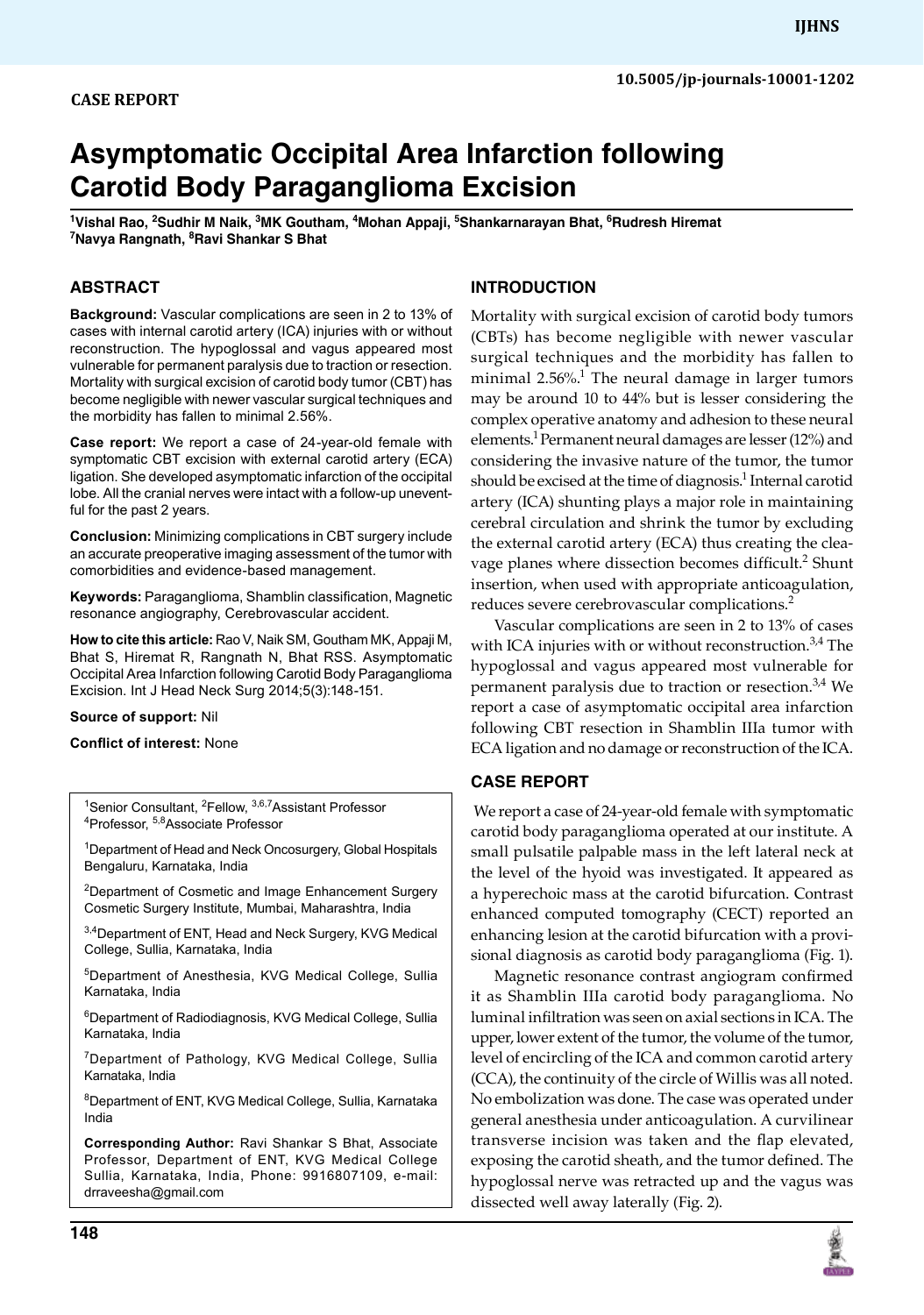# **case report**

# **Asymptomatic Occipital Area Infarction following Carotid Body Paraganglioma Excision**

<sup>1</sup>Vishal Rao, <sup>2</sup>Sudhir M Naik, <sup>3</sup>MK Goutham, <sup>4</sup>Mohan Appaji, <sup>5</sup>Shankarnarayan Bhat, <sup>6</sup>Rudresh Hiremat<br><sup>7</sup>Navya Rangpath, <sup>8</sup>Bayi Shankar S Bhat **Navya Rangnath, <sup>8</sup> Ravi Shankar S Bhat**

# **ABSTRACT**

**Background:** Vascular complications are seen in 2 to 13% of cases with internal carotid artery (ICA) injuries with or without reconstruction. The hypoglossal and vagus appeared most vulnerable for permanent paralysis due to traction or resection. Mortality with surgical excision of carotid body tumor (CBT) has become negligible with newer vascular surgical techniques and the morbidity has fallen to minimal 2.56%.

**Case report:** We report a case of 24-year-old female with symptomatic CBT excision with external carotid artery (ECA) ligation. She developed asymptomatic infarction of the occipital lobe. All the cranial nerves were intact with a follow-up uneventful for the past 2 years.

**Conclusion:** Minimizing complications in CBT surgery include an accurate preoperative imaging assessment of the tumor with comorbidities and evidence-based management.

**Keywords:** Paraganglioma, Shamblin classification, Magnetic resonance angiography, Cerebrovascular accident.

**How to cite this article:** Rao V, Naik SM, Goutham MK, Appaji M, Bhat S, Hiremat R, Rangnath N, Bhat RSS. Asymptomatic Occipital Area Infarction following Carotid Body Paraganglioma Excision. Int J Head Neck Surg 2014;5(3):148-151.

#### **Source of support:** Nil

**Conflict of interest:** None

<sup>1</sup>Senior Consultant, <sup>2</sup>Fellow, <sup>3,6,7</sup>Assistant Professor<br><sup>4</sup>Professor, <sup>5,8</sup>Associate Professor Professor, 5,8Associate Professor

<sup>1</sup>Department of Head and Neck Oncosurgery, Global Hospitals Bengaluru, Karnataka, India

<sup>2</sup>Department of Cosmetic and Image Enhancement Surgery Cosmetic Surgery Institute, Mumbai, Maharashtra, India

3,4 Department of ENT, Head and Neck Surgery, KVG Medical College, Sullia, Karnataka, India

5Department of Anesthesia, KVG Medical College, Sullia Karnataka, India

6 Department of Radiodiagnosis, KVG Medical College, Sullia Karnataka, India

7Department of Pathology, KVG Medical College, Sullia Karnataka, India

8 Department of ENT, KVG Medical College, Sullia, Karnataka India

**Corresponding Author: Ravi Shankar S Bhat, Associate** Professor, Department of ENT, KVG Medical College Sullia, Karnataka, India, Phone: 9916807109, e-mail: drraveesha@gmail.com

# **148**

#### **Introduction**

Mortality with surgical excision of carotid body tumors (CBTs) has become negligible with newer vascular surgical techniques and the morbidity has fallen to minimal 2.56%.<sup>1</sup> The neural damage in larger tumors may be around 10 to 44% but is lesser considering the complex operative anatomy and adhesion to these neural elements.<sup>1</sup> Permanent neural damages are lesser (12%) and considering the invasive nature of the tumor, the tumor should be excised at the time of diagnosis.<sup>1</sup> Internal carotid artery (ICA) shunting plays a major role in maintaining cerebral circulation and shrink the tumor by excluding the external carotid artery (ECA) thus creating the cleavage planes where dissection becomes difficult.<sup>2</sup> Shunt insertion, when used with appropriate anticoagulation, reduces severe cerebrovascular complications.<sup>2</sup>

Vascular complications are seen in 2 to 13% of cases with ICA injuries with or without reconstruction.<sup>3,4</sup> The hypoglossal and vagus appeared most vulnerable for permanent paralysis due to traction or resection.3,4 We report a case of asymptomatic occipital area infarction following CBT resection in Shamblin IIIa tumor with ECA ligation and no damage or reconstruction of the ICA.

# **Case report**

 We report a case of 24-year-old female with symptomatic carotid body paraganglioma operated at our institute. A small pulsatile palpable mass in the left lateral neck at the level of the hyoid was investigated. It appeared as a hyperechoic mass at the carotid bifurcation. Contrast enhanced computed tomography (CECT) reported an enhancing lesion at the carotid bifurcation with a provisional diagnosis as carotid body paraganglioma (Fig. 1).

Magnetic resonance contrast angiogram confirmed it as Shamblin IIIa carotid body paraganglioma. No luminal infiltration was seen on axial sections in ICA. The upper, lower extent of the tumor, the volume of the tumor, level of encircling of the ICA and common carotid artery (CCA), the continuity of the circle of Willis was all noted. No embolization was done. The case was operated under general anesthesia under anticoagulation. A curvilinear transverse incision was taken and the flap elevated, exposing the carotid sheath, and the tumor defined. The hypoglossal nerve was retracted up and the vagus was dissected well away laterally (Fig. 2).

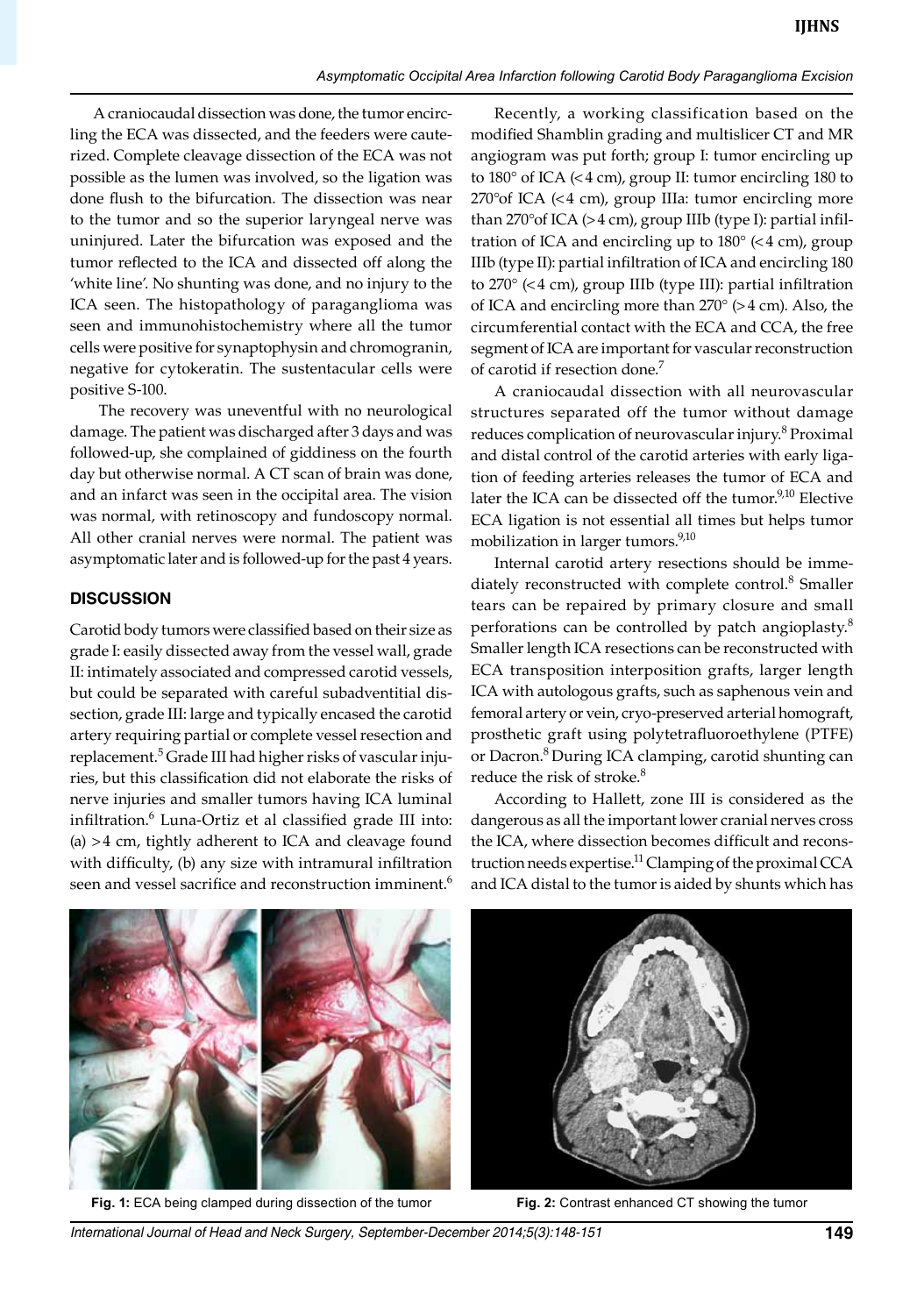A craniocaudal dissection was done, the tumor encircling the ECA was dissected, and the feeders were cauterized. Complete cleavage dissection of the ECA was not possible as the lumen was involved, so the ligation was done flush to the bifurcation. The dissection was near to the tumor and so the superior laryngeal nerve was uninjured. Later the bifurcation was exposed and the tumor reflected to the ICA and dissected off along the 'white line'. No shunting was done, and no injury to the ICA seen. The histopathology of paraganglioma was seen and immunohistochemistry where all the tumor cells were positive for synaptophysin and chromogranin, negative for cytokeratin. The sustentacular cells were positive S-100.

The recovery was uneventful with no neurological damage. The patient was discharged after 3 days and was followed-up, she complained of giddiness on the fourth day but otherwise normal. A CT scan of brain was done, and an infarct was seen in the occipital area. The vision was normal, with retinoscopy and fundoscopy normal. All other cranial nerves were normal. The patient was asymptomatic later and is followed-up for the past 4 years.

## **Discussion**

Carotid body tumors were classified based on their size as grade I: easily dissected away from the vessel wall, grade II: intimately associated and compressed carotid vessels, but could be separated with careful subadventitial dissection, grade III: large and typically encased the carotid artery requiring partial or complete vessel resection and replacement.<sup>5</sup> Grade III had higher risks of vascular injuries, but this classification did not elaborate the risks of nerve injuries and smaller tumors having ICA luminal infiltration.<sup>6</sup> Luna-Ortiz et al classified grade III into: (a) >4 cm, tightly adherent to ICA and cleavage found with difficulty, (b) any size with intramural infiltration seen and vessel sacrifice and reconstruction imminent.<sup>6</sup>

Recently, a working classification based on the modified Shamblin grading and multislicer CT and MR angiogram was put forth; group I: tumor encircling up to 180° of ICA (<4 cm), group II: tumor encircling 180 to 270°of ICA (<4 cm), group IIIa: tumor encircling more than 270°of ICA (>4 cm), group IIIb (type I): partial infiltration of ICA and encircling up to  $180^\circ$  (<4 cm), group IIIb (type II): partial infiltration of ICA and encircling 180 to 270° (<4 cm), group IIIb (type III): partial infiltration of ICA and encircling more than 270° (>4 cm). Also, the circumferential contact with the ECA and CCA, the free segment of ICA are important for vascular reconstruction of carotid if resection done.<sup>7</sup>

A craniocaudal dissection with all neurovascular structures separated off the tumor without damage reduces complication of neurovascular injury.<sup>8</sup> Proximal and distal control of the carotid arteries with early ligation of feeding arteries releases the tumor of ECA and later the ICA can be dissected off the tumor.<sup>9,10</sup> Elective ECA ligation is not essential all times but helps tumor mobilization in larger tumors.<sup>9,10</sup>

Internal carotid artery resections should be immediately reconstructed with complete control.<sup>8</sup> Smaller tears can be repaired by primary closure and small perforations can be controlled by patch angioplasty.<sup>8</sup> Smaller length ICA resections can be reconstructed with ECA transposition interposition grafts, larger length ICA with autologous grafts, such as saphenous vein and femoral artery or vein, cryo-preserved arterial homograft, prosthetic graft using polytetrafluoroethylene (PTFE) or Dacron.<sup>8</sup> During ICA clamping, carotid shunting can reduce the risk of stroke.<sup>8</sup>

According to Hallett, zone III is considered as the dangerous as all the important lower cranial nerves cross the ICA, where dissection becomes difficult and reconstruction needs expertise.<sup>11</sup> Clamping of the proximal CCA and ICA distal to the tumor is aided by shunts which has



**Fig. 1:** ECA being clamped during dissection of the tumor **Fig. 2:** contrast enhanced CT showing the tumor



*International Journal of Head and Neck Surgery, September-December 2014;5(3):148-151* **149**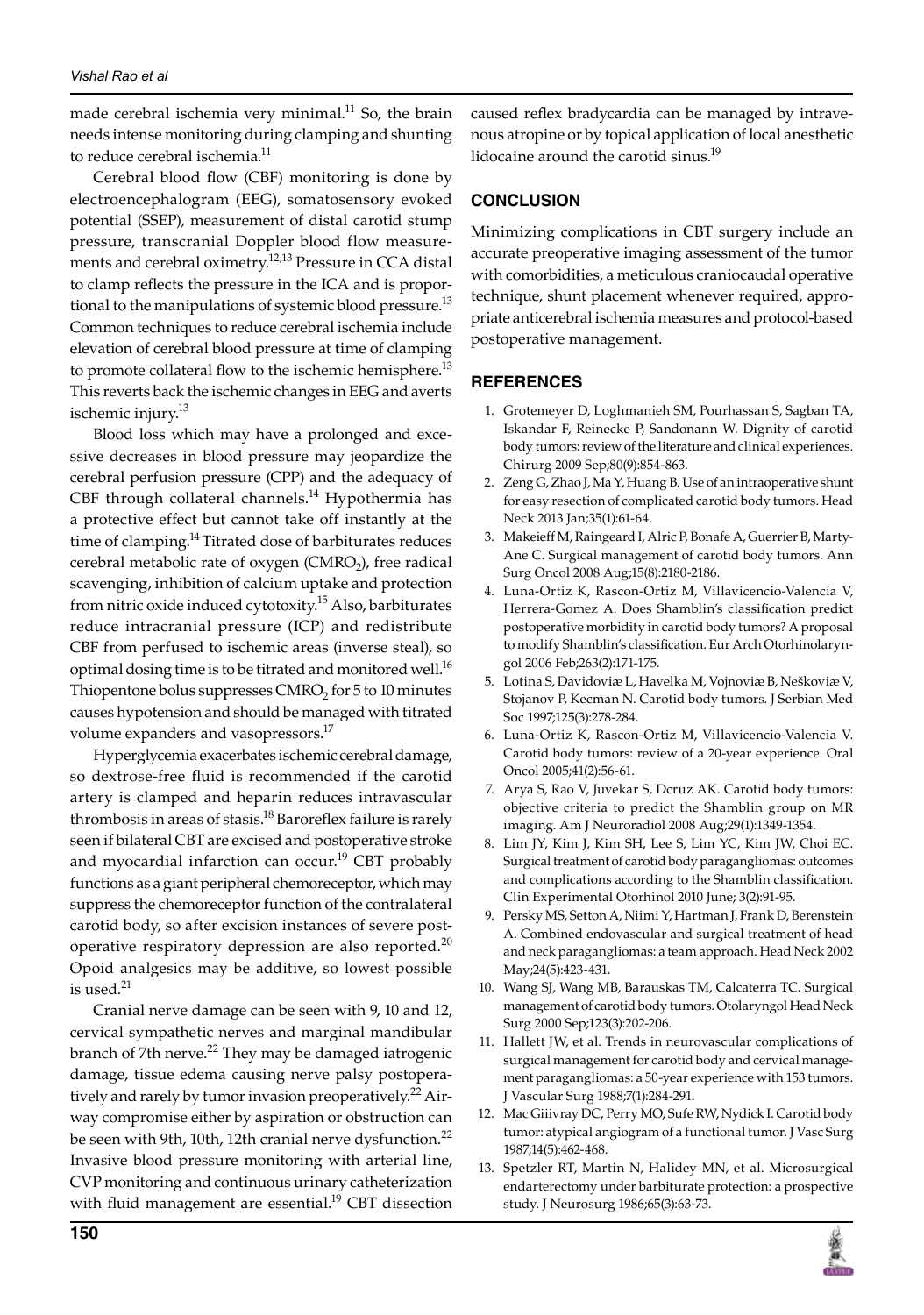made cerebral ischemia very minimal.<sup>11</sup> So, the brain needs intense monitoring during clamping and shunting to reduce cerebral ischemia.<sup>11</sup>

Cerebral blood flow (CBF) monitoring is done by electroencephalogram (EEG), somatosensory evoked potential (SSEP), measurement of distal carotid stump pressure, transcranial Doppler blood flow measurements and cerebral oximetry.<sup>12,13</sup> Pressure in CCA distal to clamp reflects the pressure in the ICA and is proportional to the manipulations of systemic blood pressure.<sup>13</sup> Common techniques to reduce cerebral ischemia include elevation of cerebral blood pressure at time of clamping to promote collateral flow to the ischemic hemisphere.<sup>13</sup> This reverts back the ischemic changes in EEG and averts ischemic injury.<sup>13</sup>

Blood loss which may have a prolonged and excessive decreases in blood pressure may jeopardize the cerebral perfusion pressure (CPP) and the adequacy of CBF through collateral channels.<sup>14</sup> Hypothermia has a protective effect but cannot take off instantly at the time of clamping.<sup>14</sup> Titrated dose of barbiturates reduces cerebral metabolic rate of oxygen ( $CMRO<sub>2</sub>$ ), free radical scavenging, inhibition of calcium uptake and protection from nitric oxide induced cytotoxity.15 Also, barbiturates reduce intracranial pressure (ICP) and redistribute CBF from perfused to ischemic areas (inverse steal), so optimal dosing time is to be titrated and monitored well.<sup>16</sup> Thiopentone bolus suppresses  $CMRO<sub>2</sub>$  for 5 to 10 minutes causes hypotension and should be managed with titrated volume expanders and vasopressors.<sup>17</sup>

Hyperglycemia exacerbates ischemic cerebral damage, so dextrose-free fluid is recommended if the carotid artery is clamped and heparin reduces intravascular thrombosis in areas of stasis.<sup>18</sup> Baroreflex failure is rarely seen if bilateral CBT are excised and postoperative stroke and myocardial infarction can occur.<sup>19</sup> CBT probably functions as a giant peripheral chemoreceptor, which may suppress the chemoreceptor function of the contralateral carotid body, so after excision instances of severe postoperative respiratory depression are also reported.<sup>20</sup> Opoid analgesics may be additive, so lowest possible is used.  $\rm ^{21}$ 

Cranial nerve damage can be seen with 9, 10 and 12, cervical sympathetic nerves and marginal mandibular branch of 7th nerve.<sup>22</sup> They may be damaged iatrogenic damage, tissue edema causing nerve palsy postoperatively and rarely by tumor invasion preoperatively. $^{22}$  Airway compromise either by aspiration or obstruction can be seen with 9th, 10th, 12th cranial nerve dysfunction.<sup>22</sup> Invasive blood pressure monitoring with arterial line, CVP monitoring and continuous urinary catheterization with fluid management are essential.<sup>19</sup> CBT dissection

caused reflex bradycardia can be managed by intravenous atropine or by topical application of local anesthetic lidocaine around the carotid sinus.<sup>19</sup>

# **Conclusion**

Minimizing complications in CBT surgery include an accurate preoperative imaging assessment of the tumor with comorbidities, a meticulous craniocaudal operative technique, shunt placement whenever required, appropriate anticerebral ischemia measures and protocol-based postoperative management.

# **References**

- 1. Grotemeyer D, Loghmanieh SM, Pourhassan S, Sagban TA, Iskandar F, Reinecke P, Sandonann W. Dignity of carotid body tumors: review of the literature and clinical experiences. chirurg 2009 Sep;80(9):854-863.
- 2. Zeng G, Zhao J, Ma Y, Huang B. Use of an intraoperative shunt for easy resection of complicated carotid body tumors. Head Neck 2013 Jan;35(1):61-64.
- 3. Makeieff M, Raingeard I, Alric P, Bonafe A, Guerrier B, Marty-Ane C. Surgical management of carotid body tumors. Ann Surg Oncol 2008 Aug;15(8):2180-2186.
- 4. Luna-Ortiz K, Rascon-Ortiz M, Villavicencio-Valencia V, Herrera-Gomez A. Does Shamblin's classification predict postoperative morbidity in carotid body tumors? A proposal to modify Shamblin's classification. Eur Arch Otorhinolaryngol 2006 Feb;263(2):171-175.
- 5. Lotina S, Davidoviæ L, Havelka M, Vojnoviæ B, Neškoviæ V, Stojanov P, Kecman N. Carotid body tumors. J Serbian Med Soc 1997;125(3):278-284.
- 6. Luna-Ortiz K, Rascon-Ortiz M, Villavicencio-Valencia V. Carotid body tumors: review of a 20-year experience. Oral Oncol 2005;41(2):56-61.
- 7. Arya S, Rao V, Juvekar S, Dcruz AK. Carotid body tumors: objective criteria to predict the shamblin group on MR imaging. Am J Neuroradiol 2008 Aug;29(1):1349-1354.
- 8. Lim JY, Kim J, Kim SH, Lee S, Lim YC, Kim JW, Choi EC. Surgical treatment of carotid body paragangliomas: outcomes and complications according to the shamblin classification. clin experimental otorhinol 2010 June; 3(2):91-95.
- 9. Persky MS, Setton A, Niimi Y, Hartman J, Frank D, Berenstein A. Combined endovascular and surgical treatment of head and neck paragangliomas: a team approach. Head Neck 2002 May;24(5):423-431.
- 10. Wang SJ, Wang MB, Barauskas TM, Calcaterra TC. Surgical management of carotid body tumors. Otolaryngol Head Neck Surg 2000 Sep;123(3):202-206.
- 11. Hallett JW, et al. Trends in neurovascular complications of surgical management for carotid body and cervical management paragangliomas: a 50-year experience with 153 tumors. J Vascular Surg 1988;7(1):284-291.
- 12. Mac Giiivray DC, Perry MO, Sufe RW, Nydick I. Carotid body tumor: atypical angiogram of a functional tumor. J vasc Surg 1987;14(5):462-468.
- 13. Spetzler RT, Martin N, Halidey MN, et al. Microsurgical endarterectomy under barbiturate protection: a prospective study. J neurosurg 1986;65(3):63-73.